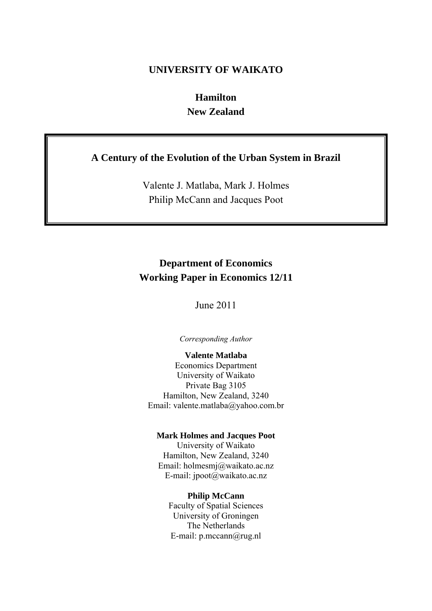# **UNIVERSITY OF WAIKATO**

# **Hamilton New Zealand**

# **A Century of the Evolution of the Urban System in Brazil**

Valente J. Matlaba, Mark J. Holmes Philip McCann and Jacques Poot

# **Department of Economics Working Paper in Economics 12/11**

June 2011

*Corresponding Author* 

### **Valente Matlaba**

Economics Department University of Waikato Private Bag 3105 Hamilton, New Zealand, 3240 Email: valente.matlaba@yahoo.com.br

### **Mark Holmes and Jacques Poot**

University of Waikato Hamilton, New Zealand, 3240 Email: holmesmj@waikato.ac.nz E-mail: jpoot@waikato.ac.nz

#### **Philip McCann**

Faculty of Spatial Sciences University of Groningen The Netherlands E-mail: p.mccann@rug.nl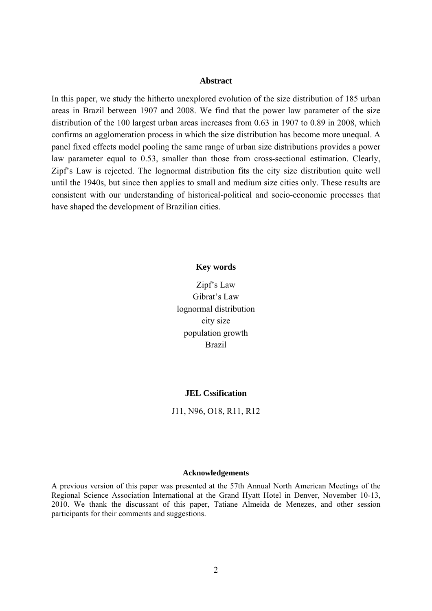#### **Abstract**

In this paper, we study the hitherto unexplored evolution of the size distribution of 185 urban areas in Brazil between 1907 and 2008. We find that the power law parameter of the size distribution of the 100 largest urban areas increases from 0.63 in 1907 to 0.89 in 2008, which confirms an agglomeration process in which the size distribution has become more unequal. A panel fixed effects model pooling the same range of urban size distributions provides a power law parameter equal to 0.53, smaller than those from cross-sectional estimation. Clearly, Zipf's Law is rejected. The lognormal distribution fits the city size distribution quite well until the 1940s, but since then applies to small and medium size cities only. These results are consistent with our understanding of historical-political and socio-economic processes that have shaped the development of Brazilian cities.

#### **Key words**

Zipf's Law Gibrat's Law lognormal distribution city size population growth Brazil

### **JEL Cssification**

J11, N96, O18, R11, R12

## **Acknowledgements**

A previous version of this paper was presented at the 57th Annual North American Meetings of the Regional Science Association International at the Grand Hyatt Hotel in Denver, November 10-13, 2010. We thank the discussant of this paper, Tatiane Almeida de Menezes, and other session participants for their comments and suggestions.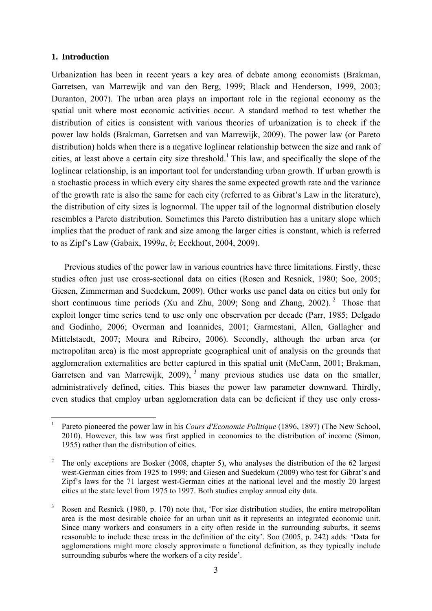## **1. Introduction**

1

Urbanization has been in recent years a key area of debate among economists (Brakman, Garretsen, van Marrewijk and van den Berg, 1999; Black and Henderson, 1999, 2003; Duranton, 2007). The urban area plays an important role in the regional economy as the spatial unit where most economic activities occur. A standard method to test whether the distribution of cities is consistent with various theories of urbanization is to check if the power law holds (Brakman, Garretsen and van Marrewijk, 2009). The power law (or Pareto distribution) holds when there is a negative loglinear relationship between the size and rank of cities, at least above a certain city size threshold.<sup>1</sup> This law, and specifically the slope of the loglinear relationship, is an important tool for understanding urban growth. If urban growth is a stochastic process in which every city shares the same expected growth rate and the variance of the growth rate is also the same for each city (referred to as Gibrat's Law in the literature), the distribution of city sizes is lognormal. The upper tail of the lognormal distribution closely resembles a Pareto distribution. Sometimes this Pareto distribution has a unitary slope which implies that the product of rank and size among the larger cities is constant, which is referred to as Zipf's Law (Gabaix, 1999*a*, *b*; Eeckhout, 2004, 2009).

Previous studies of the power law in various countries have three limitations. Firstly, these studies often just use cross-sectional data on cities (Rosen and Resnick, 1980; Soo, 2005; Giesen, Zimmerman and Suedekum, 2009). Other works use panel data on cities but only for short continuous time periods (Xu and Zhu, 2009; Song and Zhang, 2002). <sup>2</sup> Those that exploit longer time series tend to use only one observation per decade (Parr, 1985; Delgado and Godinho, 2006; Overman and Ioannides, 2001; Garmestani, Allen, Gallagher and Mittelstaedt, 2007; Moura and Ribeiro, 2006). Secondly, although the urban area (or metropolitan area) is the most appropriate geographical unit of analysis on the grounds that agglomeration externalities are better captured in this spatial unit (McCann, 2001; Brakman, Garretsen and van Marrewijk, 2009),  $3$  many previous studies use data on the smaller, administratively defined, cities. This biases the power law parameter downward. Thirdly, even studies that employ urban agglomeration data can be deficient if they use only cross-

<sup>1</sup> Pareto pioneered the power law in his *Cours d'Economie Politique* (1896, 1897) (The New School, 2010). However, this law was first applied in economics to the distribution of income (Simon, 1955) rather than the distribution of cities.

<sup>2</sup> The only exceptions are Bosker (2008, chapter 5), who analyses the distribution of the 62 largest west-German cities from 1925 to 1999; and Giesen and Suedekum (2009) who test for Gibrat's and Zipf's laws for the 71 largest west-German cities at the national level and the mostly 20 largest cities at the state level from 1975 to 1997. Both studies employ annual city data.

<sup>3</sup> Rosen and Resnick (1980, p. 170) note that, 'For size distribution studies, the entire metropolitan area is the most desirable choice for an urban unit as it represents an integrated economic unit. Since many workers and consumers in a city often reside in the surrounding suburbs, it seems reasonable to include these areas in the definition of the city'. Soo (2005, p. 242) adds: 'Data for agglomerations might more closely approximate a functional definition, as they typically include surrounding suburbs where the workers of a city reside'.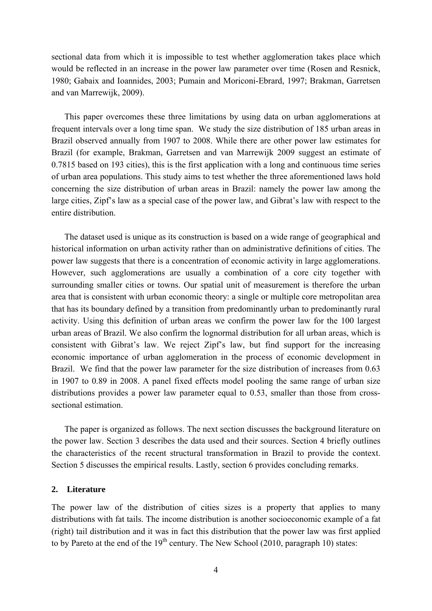sectional data from which it is impossible to test whether agglomeration takes place which would be reflected in an increase in the power law parameter over time (Rosen and Resnick, 1980; Gabaix and Ioannides, 2003; Pumain and Moriconi-Ebrard, 1997; Brakman, Garretsen and van Marrewijk, 2009).

This paper overcomes these three limitations by using data on urban agglomerations at frequent intervals over a long time span. We study the size distribution of 185 urban areas in Brazil observed annually from 1907 to 2008. While there are other power law estimates for Brazil (for example, Brakman, Garretsen and van Marrewijk 2009 suggest an estimate of 0.7815 based on 193 cities), this is the first application with a long and continuous time series of urban area populations. This study aims to test whether the three aforementioned laws hold concerning the size distribution of urban areas in Brazil: namely the power law among the large cities, Zipf's law as a special case of the power law, and Gibrat's law with respect to the entire distribution.

The dataset used is unique as its construction is based on a wide range of geographical and historical information on urban activity rather than on administrative definitions of cities. The power law suggests that there is a concentration of economic activity in large agglomerations. However, such agglomerations are usually a combination of a core city together with surrounding smaller cities or towns. Our spatial unit of measurement is therefore the urban area that is consistent with urban economic theory: a single or multiple core metropolitan area that has its boundary defined by a transition from predominantly urban to predominantly rural activity. Using this definition of urban areas we confirm the power law for the 100 largest urban areas of Brazil. We also confirm the lognormal distribution for all urban areas, which is consistent with Gibrat's law. We reject Zipf's law, but find support for the increasing economic importance of urban agglomeration in the process of economic development in Brazil. We find that the power law parameter for the size distribution of increases from 0.63 in 1907 to 0.89 in 2008. A panel fixed effects model pooling the same range of urban size distributions provides a power law parameter equal to 0.53, smaller than those from crosssectional estimation.

The paper is organized as follows. The next section discusses the background literature on the power law. Section 3 describes the data used and their sources. Section 4 briefly outlines the characteristics of the recent structural transformation in Brazil to provide the context. Section 5 discusses the empirical results. Lastly, section 6 provides concluding remarks.

## **2. Literature**

The power law of the distribution of cities sizes is a property that applies to many distributions with fat tails. The income distribution is another socioeconomic example of a fat (right) tail distribution and it was in fact this distribution that the power law was first applied to by Pareto at the end of the  $19<sup>th</sup>$  century. The New School (2010, paragraph 10) states: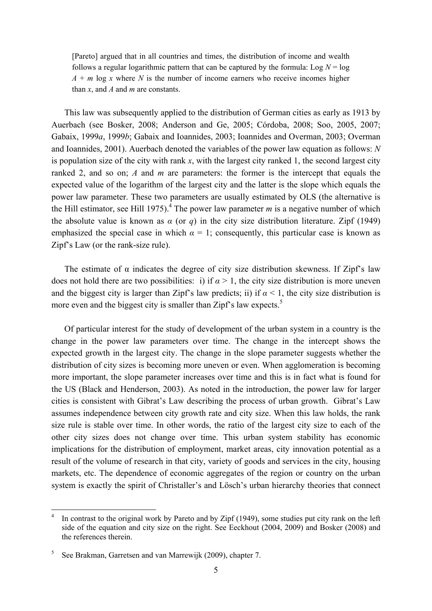[Pareto] argued that in all countries and times, the distribution of income and wealth follows a regular logarithmic pattern that can be captured by the formula:  $\text{Log } N = \text{log } N$  $A + m \log x$  where *N* is the number of income earners who receive incomes higher than *x*, and *A* and *m* are constants.

This law was subsequently applied to the distribution of German cities as early as 1913 by Auerbach (see Bosker, 2008; Anderson and Ge, 2005; Córdoba, 2008; Soo, 2005, 2007; Gabaix, 1999*a*, 1999*b*; Gabaix and Ioannides, 2003; Ioannides and Overman, 2003; Overman and Ioannides, 2001). Auerbach denoted the variables of the power law equation as follows: *N* is population size of the city with rank *x*, with the largest city ranked 1, the second largest city ranked 2, and so on; *A* and *m* are parameters: the former is the intercept that equals the expected value of the logarithm of the largest city and the latter is the slope which equals the power law parameter. These two parameters are usually estimated by OLS (the alternative is the Hill estimator, see Hill 1975).<sup>4</sup> The power law parameter  $m$  is a negative number of which the absolute value is known as  $\alpha$  (or  $q$ ) in the city size distribution literature. Zipf (1949) emphasized the special case in which  $\alpha = 1$ ; consequently, this particular case is known as Zipf's Law (or the rank-size rule).

The estimate of  $\alpha$  indicates the degree of city size distribution skewness. If Zipf's law does not hold there are two possibilities: i) if  $\alpha > 1$ , the city size distribution is more uneven and the biggest city is larger than Zipf's law predicts; ii) if  $\alpha$  < 1, the city size distribution is more even and the biggest city is smaller than Zipf's law expects. $5$ 

Of particular interest for the study of development of the urban system in a country is the change in the power law parameters over time. The change in the intercept shows the expected growth in the largest city. The change in the slope parameter suggests whether the distribution of city sizes is becoming more uneven or even. When agglomeration is becoming more important, the slope parameter increases over time and this is in fact what is found for the US (Black and Henderson, 2003). As noted in the introduction, the power law for larger cities is consistent with Gibrat's Law describing the process of urban growth. Gibrat's Law assumes independence between city growth rate and city size. When this law holds, the rank size rule is stable over time. In other words, the ratio of the largest city size to each of the other city sizes does not change over time. This urban system stability has economic implications for the distribution of employment, market areas, city innovation potential as a result of the volume of research in that city, variety of goods and services in the city, housing markets, etc. The dependence of economic aggregates of the region or country on the urban system is exactly the spirit of Christaller's and Lösch's urban hierarchy theories that connect

<u>.</u>

<sup>4</sup> In contrast to the original work by Pareto and by Zipf (1949), some studies put city rank on the left side of the equation and city size on the right. See Eeckhout (2004, 2009) and Bosker (2008) and the references therein.

<sup>5</sup> See Brakman, Garretsen and van Marrewijk (2009), chapter 7.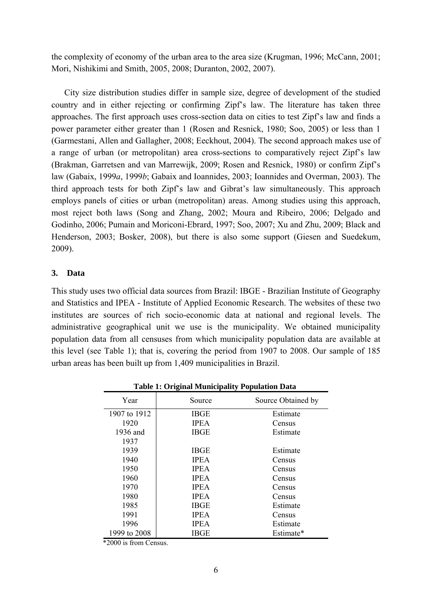the complexity of economy of the urban area to the area size (Krugman, 1996; McCann, 2001; Mori, Nishikimi and Smith, 2005, 2008; Duranton, 2002, 2007).

City size distribution studies differ in sample size, degree of development of the studied country and in either rejecting or confirming Zipf's law. The literature has taken three approaches. The first approach uses cross-section data on cities to test Zipf's law and finds a power parameter either greater than 1 (Rosen and Resnick, 1980; Soo, 2005) or less than 1 (Garmestani, Allen and Gallagher, 2008; Eeckhout, 2004). The second approach makes use of a range of urban (or metropolitan) area cross-sections to comparatively reject Zipf's law (Brakman, Garretsen and van Marrewijk, 2009; Rosen and Resnick, 1980) or confirm Zipf's law (Gabaix, 1999*a*, 1999*b*; Gabaix and Ioannides, 2003; Ioannides and Overman, 2003). The third approach tests for both Zipf's law and Gibrat's law simultaneously. This approach employs panels of cities or urban (metropolitan) areas. Among studies using this approach, most reject both laws (Song and Zhang, 2002; Moura and Ribeiro, 2006; Delgado and Godinho, 2006; Pumain and Moriconi-Ebrard, 1997; Soo, 2007; Xu and Zhu, 2009; Black and Henderson, 2003; Bosker, 2008), but there is also some support (Giesen and Suedekum, 2009).

# **3. Data**

This study uses two official data sources from Brazil: IBGE - Brazilian Institute of Geography and Statistics and IPEA - Institute of Applied Economic Research. The websites of these two institutes are sources of rich socio-economic data at national and regional levels. The administrative geographical unit we use is the municipality. We obtained municipality population data from all censuses from which municipality population data are available at this level (see Table 1); that is, covering the period from 1907 to 2008. Our sample of 185 urban areas has been built up from 1,409 municipalities in Brazil.

| Year         | Source      | Source Obtained by |
|--------------|-------------|--------------------|
| 1907 to 1912 | <b>IBGE</b> | Estimate           |
| 1920         | <b>IPEA</b> | Census             |
| 1936 and     | <b>IBGE</b> | Estimate           |
| 1937         |             |                    |
| 1939         | <b>IBGE</b> | Estimate           |
| 1940         | <b>IPEA</b> | Census             |
| 1950         | <b>IPEA</b> | Census             |
| 1960         | <b>IPEA</b> | Census             |
| 1970         | <b>IPEA</b> | Census             |
| 1980         | <b>IPEA</b> | Census             |
| 1985         | <b>IBGE</b> | Estimate           |
| 1991         | <b>IPEA</b> | Census             |
| 1996         | <b>IPEA</b> | Estimate           |
| 1999 to 2008 | IBGE        | Estimate*          |

**Table 1: Original Municipality Population Data** 

\*2000 is from Census.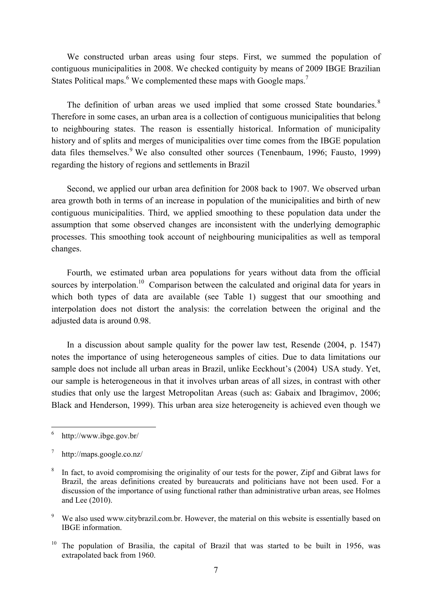We constructed urban areas using four steps. First, we summed the population of contiguous municipalities in 2008. We checked contiguity by means of 2009 IBGE Brazilian States Political maps.<sup>6</sup> We complemented these maps with Google maps.<sup>7</sup>

The definition of urban areas we used implied that some crossed State boundaries.<sup>8</sup> Therefore in some cases, an urban area is a collection of contiguous municipalities that belong to neighbouring states. The reason is essentially historical. Information of municipality history and of splits and merges of municipalities over time comes from the IBGE population data files themselves.<sup>9</sup> We also consulted other sources (Tenenbaum, 1996; Fausto, 1999) regarding the history of regions and settlements in Brazil

 Second, we applied our urban area definition for 2008 back to 1907. We observed urban area growth both in terms of an increase in population of the municipalities and birth of new contiguous municipalities. Third, we applied smoothing to these population data under the assumption that some observed changes are inconsistent with the underlying demographic processes. This smoothing took account of neighbouring municipalities as well as temporal changes.

 Fourth, we estimated urban area populations for years without data from the official sources by interpolation.<sup>10</sup> Comparison between the calculated and original data for years in which both types of data are available (see Table 1) suggest that our smoothing and interpolation does not distort the analysis: the correlation between the original and the adjusted data is around 0.98.

 In a discussion about sample quality for the power law test, Resende (2004, p. 1547) notes the importance of using heterogeneous samples of cities. Due to data limitations our sample does not include all urban areas in Brazil, unlike Eeckhout's (2004) USA study. Yet, our sample is heterogeneous in that it involves urban areas of all sizes, in contrast with other studies that only use the largest Metropolitan Areas (such as: Gabaix and Ibragimov, 2006; Black and Henderson, 1999). This urban area size heterogeneity is achieved even though we

 $\frac{1}{6}$ http://www.ibge.gov.br/

<sup>7</sup> http://maps.google.co.nz/

<sup>8</sup> In fact, to avoid compromising the originality of our tests for the power, Zipf and Gibrat laws for Brazil, the areas definitions created by bureaucrats and politicians have not been used. For a discussion of the importance of using functional rather than administrative urban areas, see Holmes and Lee (2010).

<sup>9</sup> We also used www.citybrazil.com.br. However, the material on this website is essentially based on IBGE information.

<sup>&</sup>lt;sup>10</sup> The population of Brasilia, the capital of Brazil that was started to be built in 1956, was extrapolated back from 1960.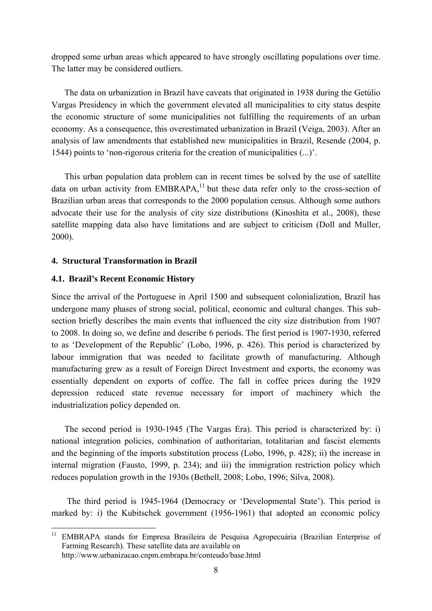dropped some urban areas which appeared to have strongly oscillating populations over time. The latter may be considered outliers.

The data on urbanization in Brazil have caveats that originated in 1938 during the Getúlio Vargas Presidency in which the government elevated all municipalities to city status despite the economic structure of some municipalities not fulfilling the requirements of an urban economy. As a consequence, this overestimated urbanization in Brazil (Veiga, 2003). After an analysis of law amendments that established new municipalities in Brazil, Resende (2004, p. 1544) points to 'non-rigorous criteria for the creation of municipalities (...)'.

This urban population data problem can in recent times be solved by the use of satellite data on urban activity from  $EMBRAPA$ ,<sup>11</sup> but these data refer only to the cross-section of Brazilian urban areas that corresponds to the 2000 population census. Although some authors advocate their use for the analysis of city size distributions (Kinoshita et al., 2008), these satellite mapping data also have limitations and are subject to criticism (Doll and Muller, 2000).

## **4. Structural Transformation in Brazil**

### **4.1. Brazil's Recent Economic History**

1

Since the arrival of the Portuguese in April 1500 and subsequent colonialization, Brazil has undergone many phases of strong social, political, economic and cultural changes. This subsection briefly describes the main events that influenced the city size distribution from 1907 to 2008. In doing so, we define and describe 6 periods. The first period is 1907-1930, referred to as 'Development of the Republic' (Lobo, 1996, p. 426). This period is characterized by labour immigration that was needed to facilitate growth of manufacturing. Although manufacturing grew as a result of Foreign Direct Investment and exports, the economy was essentially dependent on exports of coffee. The fall in coffee prices during the 1929 depression reduced state revenue necessary for import of machinery which the industrialization policy depended on.

The second period is 1930-1945 (The Vargas Era). This period is characterized by: i) national integration policies, combination of authoritarian, totalitarian and fascist elements and the beginning of the imports substitution process (Lobo, 1996, p. 428); ii) the increase in internal migration (Fausto, 1999, p. 234); and iii) the immigration restriction policy which reduces population growth in the 1930s (Bethell, 2008; Lobo, 1996; Silva, 2008).

 The third period is 1945-1964 (Democracy or 'Developmental State'). This period is marked by: i) the Kubitschek government (1956-1961) that adopted an economic policy

<sup>11</sup> EMBRAPA stands for Empresa Brasileira de Pesquisa Agropecuária (Brazilian Enterprise of Farming Research). These satellite data are available on http://www.urbanizacao.cnpm.embrapa.br/conteudo/base.html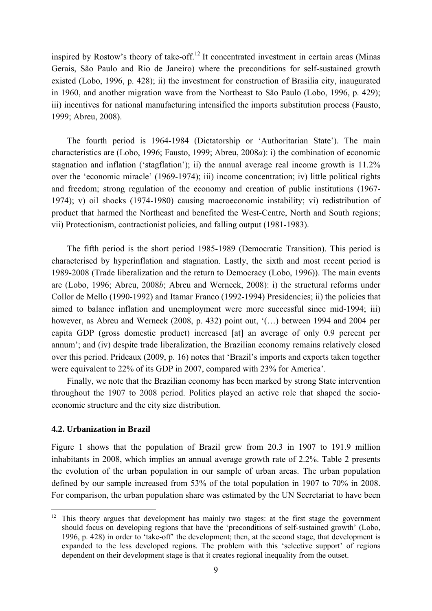inspired by Rostow's theory of take-off.<sup>12</sup> It concentrated investment in certain areas (Minas) Gerais, São Paulo and Rio de Janeiro) where the preconditions for self-sustained growth existed (Lobo, 1996, p. 428); ii) the investment for construction of Brasilia city, inaugurated in 1960, and another migration wave from the Northeast to São Paulo (Lobo, 1996, p. 429); iii) incentives for national manufacturing intensified the imports substitution process (Fausto, 1999; Abreu, 2008).

 The fourth period is 1964-1984 (Dictatorship or 'Authoritarian State'). The main characteristics are (Lobo, 1996; Fausto, 1999; Abreu, 2008*a*): i) the combination of economic stagnation and inflation ('stagflation'); ii) the annual average real income growth is 11.2% over the 'economic miracle' (1969-1974); iii) income concentration; iv) little political rights and freedom; strong regulation of the economy and creation of public institutions (1967- 1974); v) oil shocks (1974-1980) causing macroeconomic instability; vi) redistribution of product that harmed the Northeast and benefited the West-Centre, North and South regions; vii) Protectionism, contractionist policies, and falling output (1981-1983).

 The fifth period is the short period 1985-1989 (Democratic Transition). This period is characterised by hyperinflation and stagnation. Lastly, the sixth and most recent period is 1989-2008 (Trade liberalization and the return to Democracy (Lobo, 1996)). The main events are (Lobo, 1996; Abreu, 2008*b*; Abreu and Werneck, 2008): i) the structural reforms under Collor de Mello (1990-1992) and Itamar Franco (1992-1994) Presidencies; ii) the policies that aimed to balance inflation and unemployment were more successful since mid-1994; iii) however, as Abreu and Werneck (2008, p. 432) point out, '(...) between 1994 and 2004 per capita GDP (gross domestic product) increased [at] an average of only 0.9 percent per annum'; and (iv) despite trade liberalization, the Brazilian economy remains relatively closed over this period. Prideaux (2009, p. 16) notes that 'Brazil's imports and exports taken together were equivalent to 22% of its GDP in 2007, compared with 23% for America'.

 Finally, we note that the Brazilian economy has been marked by strong State intervention throughout the 1907 to 2008 period. Politics played an active role that shaped the socioeconomic structure and the city size distribution.

### **4.2. Urbanization in Brazil**

<u>.</u>

Figure 1 shows that the population of Brazil grew from 20.3 in 1907 to 191.9 million inhabitants in 2008, which implies an annual average growth rate of 2.2%. Table 2 presents the evolution of the urban population in our sample of urban areas. The urban population defined by our sample increased from 53% of the total population in 1907 to 70% in 2008. For comparison, the urban population share was estimated by the UN Secretariat to have been

<sup>&</sup>lt;sup>12</sup> This theory argues that development has mainly two stages: at the first stage the government should focus on developing regions that have the 'preconditions of self-sustained growth' (Lobo, 1996, p. 428) in order to 'take-off' the development; then, at the second stage, that development is expanded to the less developed regions. The problem with this 'selective support' of regions dependent on their development stage is that it creates regional inequality from the outset.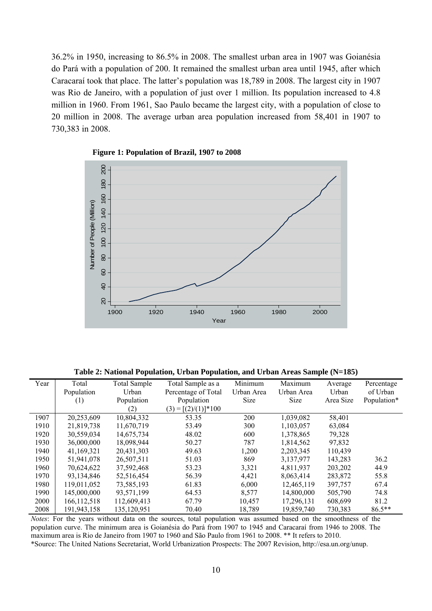36.2% in 1950, increasing to 86.5% in 2008. The smallest urban area in 1907 was Goianésia do Pará with a population of 200. It remained the smallest urban area until 1945, after which Caracaraí took that place. The latter's population was 18,789 in 2008. The largest city in 1907 was Rio de Janeiro, with a population of just over 1 million. Its population increased to 4.8 million in 1960. From 1961, Sao Paulo became the largest city, with a population of close to 20 million in 2008. The average urban area population increased from 58,401 in 1907 to 730,383 in 2008.





**Table 2: National Population, Urban Population, and Urban Areas Sample (N=185)** 

| Year | Total         | Total Sample | Total Sample as a        | Minimum     | Maximum     | Average   | Percentage  |
|------|---------------|--------------|--------------------------|-------------|-------------|-----------|-------------|
|      | Population    | Urban        | Percentage of Total      | Urban Area  | Urban Area  | Urban     | of Urban    |
|      | (1)           | Population   | Population               | <b>Size</b> | <b>Size</b> | Area Size | Population* |
|      |               | (2)          | $(3) = [(2)/(1)]^{*}100$ |             |             |           |             |
| 1907 | 20,253,609    | 10,804,332   | 53.35                    | 200         | 1,039,082   | 58,401    |             |
| 1910 | 21,819,738    | 11,670,719   | 53.49                    | 300         | 1,103,057   | 63,084    |             |
| 1920 | 30,559,034    | 14,675,734   | 48.02                    | 600         | 1,378,865   | 79,328    |             |
| 1930 | 36,000,000    | 18,098,944   | 50.27                    | 787         | 1,814,562   | 97,832    |             |
| 1940 | 41,169,321    | 20,431,303   | 49.63                    | 1,200       | 2, 203, 345 | 110,439   |             |
| 1950 | 51,941,078    | 26,507,511   | 51.03                    | 869         | 3,137,977   | 143,283   | 36.2        |
| 1960 | 70,624,622    | 37,592,468   | 53.23                    | 3,321       | 4,811,937   | 203,202   | 44.9        |
| 1970 | 93.134.846    | 52,516,454   | 56.39                    | 4,421       | 8.063.414   | 283,872   | 55.8        |
| 1980 | 119,011,052   | 73,585,193   | 61.83                    | 6,000       | 12,465,119  | 397,757   | 67.4        |
| 1990 | 145,000,000   | 93,571,199   | 64.53                    | 8,577       | 14,800,000  | 505,790   | 74.8        |
| 2000 | 166, 112, 518 | 112,609,413  | 67.79                    | 10,457      | 17,296,131  | 608,699   | 81.2        |
| 2008 | 191,943,158   | 135,120,951  | 70.40                    | 18,789      | 19,859,740  | 730,383   | $86.5***$   |

*Notes*: For the years without data on the sources, total population was assumed based on the smoothness of the population curve. The minimum area is Goianésia do Pará from 1907 to 1945 and Caracaraí from 1946 to 2008. The maximum area is Rio de Janeiro from 1907 to 1960 and São Paulo from 1961 to 2008. \*\* It refers to 2010. \*Source: The United Nations Secretariat, World Urbanization Prospects: The 2007 Revision, http://esa.un.org/unup.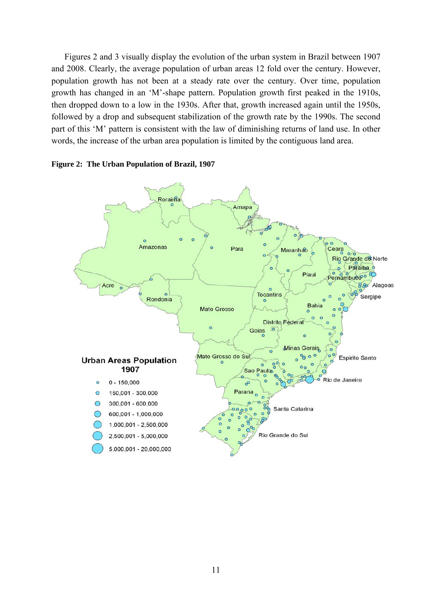Figures 2 and 3 visually display the evolution of the urban system in Brazil between 1907 and 2008. Clearly, the average population of urban areas 12 fold over the century. However, population growth has not been at a steady rate over the century. Over time, population growth has changed in an 'M'-shape pattern. Population growth first peaked in the 1910s, then dropped down to a low in the 1930s. After that, growth increased again until the 1950s, followed by a drop and subsequent stabilization of the growth rate by the 1990s. The second part of this 'M' pattern is consistent with the law of diminishing returns of land use. In other words, the increase of the urban area population is limited by the contiguous land area.



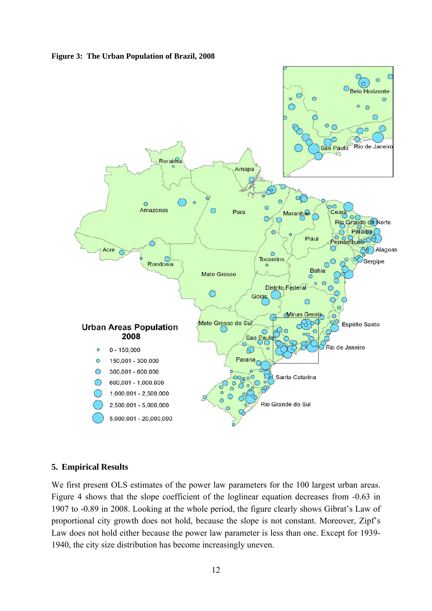**Figure 3: The Urban Population of Brazil, 2008** 



## **5. Empirical Results**

We first present OLS estimates of the power law parameters for the 100 largest urban areas. Figure 4 shows that the slope coefficient of the loglinear equation decreases from -0.63 in 1907 to -0.89 in 2008. Looking at the whole period, the figure clearly shows Gibrat's Law of proportional city growth does not hold, because the slope is not constant. Moreover, Zipf's Law does not hold either because the power law parameter is less than one. Except for 1939- 1940, the city size distribution has become increasingly uneven.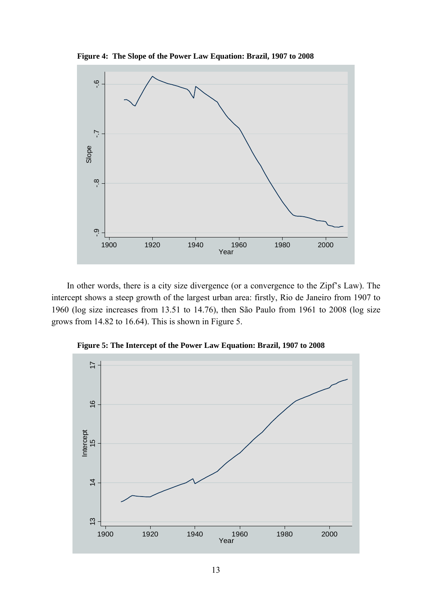**Figure 4: The Slope of the Power Law Equation: Brazil, 1907 to 2008** 



 In other words, there is a city size divergence (or a convergence to the Zipf's Law). The intercept shows a steep growth of the largest urban area: firstly, Rio de Janeiro from 1907 to 1960 (log size increases from 13.51 to 14.76), then São Paulo from 1961 to 2008 (log size grows from 14.82 to 16.64). This is shown in Figure 5.



**Figure 5: The Intercept of the Power Law Equation: Brazil, 1907 to 2008**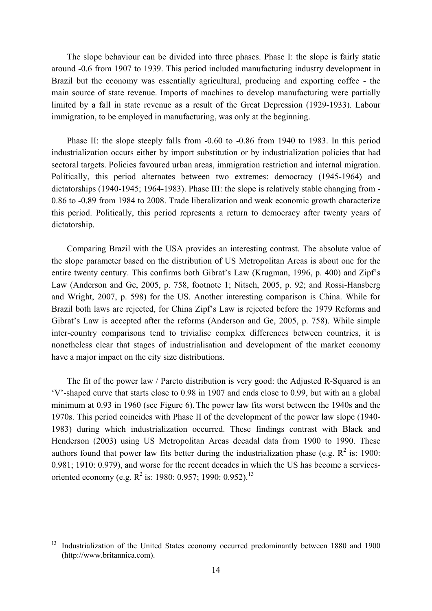The slope behaviour can be divided into three phases. Phase I: the slope is fairly static around -0.6 from 1907 to 1939. This period included manufacturing industry development in Brazil but the economy was essentially agricultural, producing and exporting coffee - the main source of state revenue. Imports of machines to develop manufacturing were partially limited by a fall in state revenue as a result of the Great Depression (1929-1933). Labour immigration, to be employed in manufacturing, was only at the beginning.

Phase II: the slope steeply falls from -0.60 to -0.86 from 1940 to 1983. In this period industrialization occurs either by import substitution or by industrialization policies that had sectoral targets. Policies favoured urban areas, immigration restriction and internal migration. Politically, this period alternates between two extremes: democracy (1945-1964) and dictatorships (1940-1945; 1964-1983). Phase III: the slope is relatively stable changing from - 0.86 to -0.89 from 1984 to 2008. Trade liberalization and weak economic growth characterize this period. Politically, this period represents a return to democracy after twenty years of dictatorship.

 Comparing Brazil with the USA provides an interesting contrast. The absolute value of the slope parameter based on the distribution of US Metropolitan Areas is about one for the entire twenty century. This confirms both Gibrat's Law (Krugman, 1996, p. 400) and Zipf's Law (Anderson and Ge, 2005, p. 758, footnote 1; Nitsch, 2005, p. 92; and Rossi-Hansberg and Wright, 2007, p. 598) for the US. Another interesting comparison is China. While for Brazil both laws are rejected, for China Zipf's Law is rejected before the 1979 Reforms and Gibrat's Law is accepted after the reforms (Anderson and Ge, 2005, p. 758). While simple inter-country comparisons tend to trivialise complex differences between countries, it is nonetheless clear that stages of industrialisation and development of the market economy have a major impact on the city size distributions.

 The fit of the power law / Pareto distribution is very good: the Adjusted R-Squared is an 'V'-shaped curve that starts close to 0.98 in 1907 and ends close to 0.99, but with an a global minimum at 0.93 in 1960 (see Figure 6). The power law fits worst between the 1940s and the 1970s. This period coincides with Phase II of the development of the power law slope (1940- 1983) during which industrialization occurred. These findings contrast with Black and Henderson (2003) using US Metropolitan Areas decadal data from 1900 to 1990. These authors found that power law fits better during the industrialization phase (e.g.  $R^2$  is: 1900: 0.981; 1910: 0.979), and worse for the recent decades in which the US has become a servicesoriented economy (e.g.  $R^2$  is: 1980: 0.957; 1990: 0.952).<sup>13</sup>

1

<sup>13</sup> Industrialization of the United States economy occurred predominantly between 1880 and 1900 (http://www.britannica.com).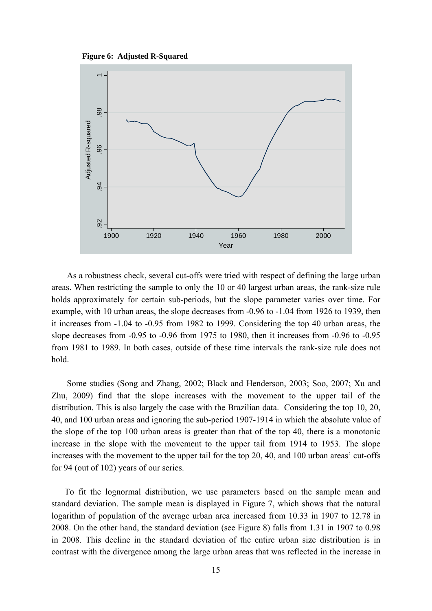**Figure 6: Adjusted R-Squared**



 As a robustness check, several cut-offs were tried with respect of defining the large urban areas. When restricting the sample to only the 10 or 40 largest urban areas, the rank-size rule holds approximately for certain sub-periods, but the slope parameter varies over time. For example, with 10 urban areas, the slope decreases from -0.96 to -1.04 from 1926 to 1939, then it increases from -1.04 to -0.95 from 1982 to 1999. Considering the top 40 urban areas, the slope decreases from -0.95 to -0.96 from 1975 to 1980, then it increases from -0.96 to -0.95 from 1981 to 1989. In both cases, outside of these time intervals the rank-size rule does not hold.

 Some studies (Song and Zhang, 2002; Black and Henderson, 2003; Soo, 2007; Xu and Zhu, 2009) find that the slope increases with the movement to the upper tail of the distribution. This is also largely the case with the Brazilian data. Considering the top 10, 20, 40, and 100 urban areas and ignoring the sub-period 1907-1914 in which the absolute value of the slope of the top 100 urban areas is greater than that of the top 40, there is a monotonic increase in the slope with the movement to the upper tail from 1914 to 1953. The slope increases with the movement to the upper tail for the top 20, 40, and 100 urban areas' cut-offs for 94 (out of 102) years of our series.

To fit the lognormal distribution, we use parameters based on the sample mean and standard deviation. The sample mean is displayed in Figure 7, which shows that the natural logarithm of population of the average urban area increased from 10.33 in 1907 to 12.78 in 2008. On the other hand, the standard deviation (see Figure 8) falls from 1.31 in 1907 to 0.98 in 2008. This decline in the standard deviation of the entire urban size distribution is in contrast with the divergence among the large urban areas that was reflected in the increase in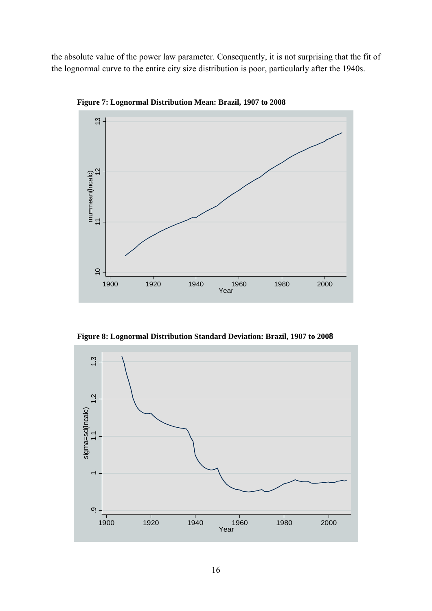the absolute value of the power law parameter. Consequently, it is not surprising that the fit of the lognormal curve to the entire city size distribution is poor, particularly after the 1940s.



**Figure 7: Lognormal Distribution Mean: Brazil, 1907 to 2008** 

**Figure 8: Lognormal Distribution Standard Deviation: Brazil, 1907 to 2008** 

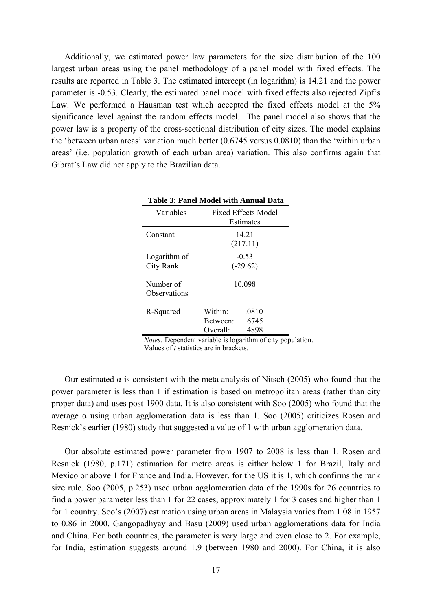Additionally, we estimated power law parameters for the size distribution of the 100 largest urban areas using the panel methodology of a panel model with fixed effects. The results are reported in Table 3. The estimated intercept (in logarithm) is 14.21 and the power parameter is -0.53. Clearly, the estimated panel model with fixed effects also rejected Zipf's Law. We performed a Hausman test which accepted the fixed effects model at the 5% significance level against the random effects model. The panel model also shows that the power law is a property of the cross-sectional distribution of city sizes. The model explains the 'between urban areas' variation much better (0.6745 versus 0.0810) than the 'within urban areas' (i.e. population growth of each urban area) variation. This also confirms again that Gibrat's Law did not apply to the Brazilian data.

| Variables                 | <b>Fixed Effects Model</b><br>Estimates                    |  |  |  |
|---------------------------|------------------------------------------------------------|--|--|--|
| Constant                  | 14 21<br>(217.11)                                          |  |  |  |
| Logarithm of<br>City Rank | $-0.53$<br>$(-29.62)$                                      |  |  |  |
| Number of<br>Observations | 10,098                                                     |  |  |  |
| R-Squared                 | Within:<br>.0810<br>.6745<br>Between:<br>Overall:<br>.4898 |  |  |  |

|  |  |  |  | <b>Table 3: Panel Model with Annual Data</b> |
|--|--|--|--|----------------------------------------------|
|--|--|--|--|----------------------------------------------|

*Notes:* Dependent variable is logarithm of city population. Values of *t* statistics are in brackets.

Our estimated  $α$  is consistent with the meta analysis of Nitsch (2005) who found that the power parameter is less than 1 if estimation is based on metropolitan areas (rather than city proper data) and uses post-1900 data. It is also consistent with Soo (2005) who found that the average α using urban agglomeration data is less than 1. Soo (2005) criticizes Rosen and Resnick's earlier (1980) study that suggested a value of 1 with urban agglomeration data.

Our absolute estimated power parameter from 1907 to 2008 is less than 1. Rosen and Resnick (1980, p.171) estimation for metro areas is either below 1 for Brazil, Italy and Mexico or above 1 for France and India. However, for the US it is 1, which confirms the rank size rule. Soo (2005, p.253) used urban agglomeration data of the 1990s for 26 countries to find a power parameter less than 1 for 22 cases, approximately 1 for 3 cases and higher than 1 for 1 country. Soo's (2007) estimation using urban areas in Malaysia varies from 1.08 in 1957 to 0.86 in 2000. Gangopadhyay and Basu (2009) used urban agglomerations data for India and China. For both countries, the parameter is very large and even close to 2. For example, for India, estimation suggests around 1.9 (between 1980 and 2000). For China, it is also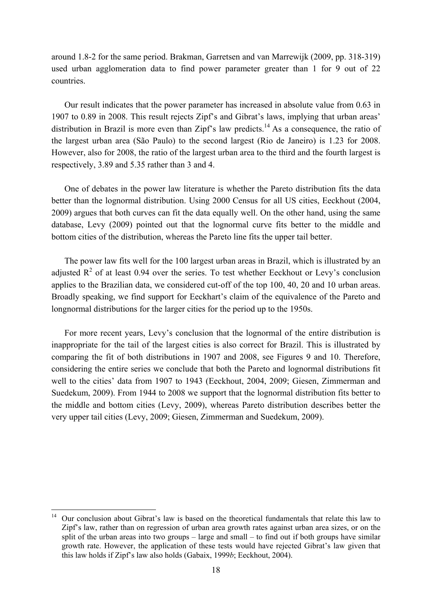around 1.8-2 for the same period. Brakman, Garretsen and van Marrewijk (2009, pp. 318-319) used urban agglomeration data to find power parameter greater than 1 for 9 out of 22 countries.

Our result indicates that the power parameter has increased in absolute value from 0.63 in 1907 to 0.89 in 2008. This result rejects Zipf's and Gibrat's laws, implying that urban areas' distribution in Brazil is more even than Zipf's law predicts.<sup>14</sup> As a consequence, the ratio of the largest urban area (São Paulo) to the second largest (Rio de Janeiro) is 1.23 for 2008. However, also for 2008, the ratio of the largest urban area to the third and the fourth largest is respectively, 3.89 and 5.35 rather than 3 and 4.

One of debates in the power law literature is whether the Pareto distribution fits the data better than the lognormal distribution. Using 2000 Census for all US cities, Eeckhout (2004, 2009) argues that both curves can fit the data equally well. On the other hand, using the same database, Levy (2009) pointed out that the lognormal curve fits better to the middle and bottom cities of the distribution, whereas the Pareto line fits the upper tail better.

The power law fits well for the 100 largest urban areas in Brazil, which is illustrated by an adjusted  $\mathbb{R}^2$  of at least 0.94 over the series. To test whether Eeckhout or Levy's conclusion applies to the Brazilian data, we considered cut-off of the top 100, 40, 20 and 10 urban areas. Broadly speaking, we find support for Eeckhart's claim of the equivalence of the Pareto and longnormal distributions for the larger cities for the period up to the 1950s.

For more recent years, Levy's conclusion that the lognormal of the entire distribution is inappropriate for the tail of the largest cities is also correct for Brazil. This is illustrated by comparing the fit of both distributions in 1907 and 2008, see Figures 9 and 10. Therefore, considering the entire series we conclude that both the Pareto and lognormal distributions fit well to the cities' data from 1907 to 1943 (Eeckhout, 2004, 2009; Giesen, Zimmerman and Suedekum, 2009). From 1944 to 2008 we support that the lognormal distribution fits better to the middle and bottom cities (Levy, 2009), whereas Pareto distribution describes better the very upper tail cities (Levy, 2009; Giesen, Zimmerman and Suedekum, 2009).

<u>.</u>

<sup>&</sup>lt;sup>14</sup> Our conclusion about Gibrat's law is based on the theoretical fundamentals that relate this law to Zipf's law, rather than on regression of urban area growth rates against urban area sizes, or on the split of the urban areas into two groups – large and small – to find out if both groups have similar growth rate. However, the application of these tests would have rejected Gibrat's law given that this law holds if Zipf's law also holds (Gabaix, 1999*b*; Eeckhout, 2004).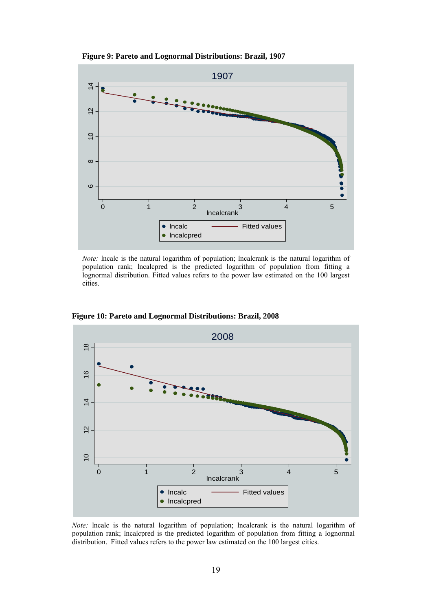**Figure 9: Pareto and Lognormal Distributions: Brazil, 1907** 



*Note:* lncalc is the natural logarithm of population; lncalcrank is the natural logarithm of population rank; lncalcpred is the predicted logarithm of population from fitting a lognormal distribution. Fitted values refers to the power law estimated on the 100 largest cities.



**Figure 10: Pareto and Lognormal Distributions: Brazil, 2008**

*Note:* lncalc is the natural logarithm of population; lncalcrank is the natural logarithm of population rank; lncalcpred is the predicted logarithm of population from fitting a lognormal distribution. Fitted values refers to the power law estimated on the 100 largest cities.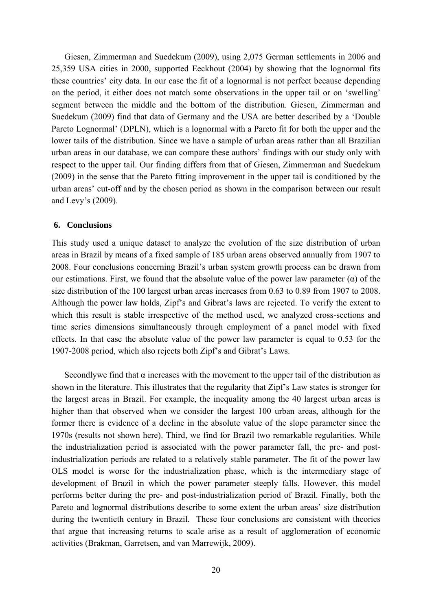Giesen, Zimmerman and Suedekum (2009), using 2,075 German settlements in 2006 and 25,359 USA cities in 2000, supported Eeckhout (2004) by showing that the lognormal fits these countries' city data. In our case the fit of a lognormal is not perfect because depending on the period, it either does not match some observations in the upper tail or on 'swelling' segment between the middle and the bottom of the distribution. Giesen, Zimmerman and Suedekum (2009) find that data of Germany and the USA are better described by a 'Double Pareto Lognormal' (DPLN), which is a lognormal with a Pareto fit for both the upper and the lower tails of the distribution. Since we have a sample of urban areas rather than all Brazilian urban areas in our database, we can compare these authors' findings with our study only with respect to the upper tail. Our finding differs from that of Giesen, Zimmerman and Suedekum (2009) in the sense that the Pareto fitting improvement in the upper tail is conditioned by the urban areas' cut-off and by the chosen period as shown in the comparison between our result and Levy's (2009).

#### **6. Conclusions**

This study used a unique dataset to analyze the evolution of the size distribution of urban areas in Brazil by means of a fixed sample of 185 urban areas observed annually from 1907 to 2008. Four conclusions concerning Brazil's urban system growth process can be drawn from our estimations. First, we found that the absolute value of the power law parameter  $(\alpha)$  of the size distribution of the 100 largest urban areas increases from 0.63 to 0.89 from 1907 to 2008. Although the power law holds, Zipf's and Gibrat's laws are rejected. To verify the extent to which this result is stable irrespective of the method used, we analyzed cross-sections and time series dimensions simultaneously through employment of a panel model with fixed effects. In that case the absolute value of the power law parameter is equal to 0.53 for the 1907-2008 period, which also rejects both Zipf's and Gibrat's Laws.

Secondlywe find that  $\alpha$  increases with the movement to the upper tail of the distribution as shown in the literature. This illustrates that the regularity that Zipf's Law states is stronger for the largest areas in Brazil. For example, the inequality among the 40 largest urban areas is higher than that observed when we consider the largest 100 urban areas, although for the former there is evidence of a decline in the absolute value of the slope parameter since the 1970s (results not shown here). Third, we find for Brazil two remarkable regularities. While the industrialization period is associated with the power parameter fall, the pre- and postindustrialization periods are related to a relatively stable parameter. The fit of the power law OLS model is worse for the industrialization phase, which is the intermediary stage of development of Brazil in which the power parameter steeply falls. However, this model performs better during the pre- and post-industrialization period of Brazil. Finally, both the Pareto and lognormal distributions describe to some extent the urban areas' size distribution during the twentieth century in Brazil. These four conclusions are consistent with theories that argue that increasing returns to scale arise as a result of agglomeration of economic activities (Brakman, Garretsen, and van Marrewijk, 2009).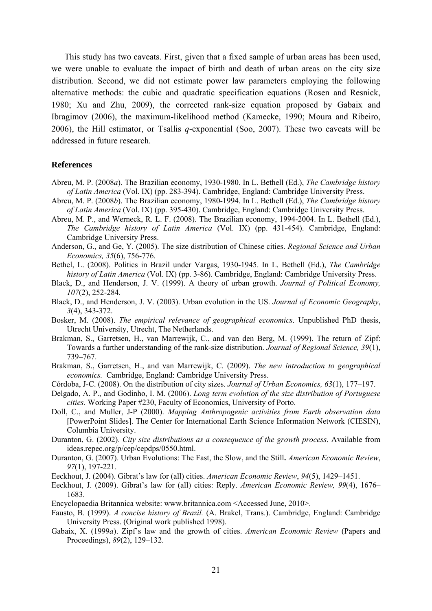This study has two caveats. First, given that a fixed sample of urban areas has been used, we were unable to evaluate the impact of birth and death of urban areas on the city size distribution. Second, we did not estimate power law parameters employing the following alternative methods: the cubic and quadratic specification equations (Rosen and Resnick, 1980; Xu and Zhu, 2009), the corrected rank-size equation proposed by Gabaix and Ibragimov (2006), the maximum-likelihood method (Kamecke, 1990; Moura and Ribeiro, 2006), the Hill estimator, or Tsallis *q*-exponential (Soo, 2007). These two caveats will be addressed in future research.

#### **References**

- Abreu, M. P. (2008*a*). The Brazilian economy, 1930-1980. In L. Bethell (Ed.), *The Cambridge history of Latin America* (Vol. IX) (pp. 283-394). Cambridge, England: Cambridge University Press.
- Abreu, M. P. (2008*b*). The Brazilian economy, 1980-1994. In L. Bethell (Ed.), *The Cambridge history of Latin America* (Vol. IX) (pp. 395-430). Cambridge, England: Cambridge University Press.
- Abreu, M. P., and Werneck, R. L. F. (2008). The Brazilian economy, 1994-2004. In L. Bethell (Ed.), *The Cambridge history of Latin America* (Vol. IX) (pp. 431-454). Cambridge, England: Cambridge University Press.
- Anderson, G., and Ge, Y. (2005). The size distribution of Chinese cities. *Regional Science and Urban Economics, 35*(6), 756-776.
- Bethel, L. (2008). Politics in Brazil under Vargas, 1930-1945. In L. Bethell (Ed.), *The Cambridge history of Latin America* (Vol. IX) (pp. 3-86). Cambridge, England: Cambridge University Press.
- Black, D., and Henderson, J. V. (1999). A theory of urban growth. *Journal of Political Economy, 107*(2), 252-284.
- Black, D., and Henderson, J. V. (2003). Urban evolution in the US. *Journal of Economic Geography*, *3*(4), 343-372.
- Bosker, M. (2008). *The empirical relevance of geographical economics*. Unpublished PhD thesis, Utrecht University, Utrecht, The Netherlands.
- Brakman, S., Garretsen, H., van Marrewijk, C., and van den Berg, M. (1999). The return of Zipf: Towards a further understanding of the rank-size distribution. *Journal of Regional Science, 39*(1), 739–767.
- Brakman, S., Garretsen, H., and van Marrewijk, C. (2009). *The new introduction to geographical economics.* Cambridge, England: Cambridge University Press.
- Córdoba, J-C. (2008). On the distribution of city sizes. *Journal of Urban Economics, 63*(1), 177–197.
- Delgado, A. P., and Godinho, I. M. (2006). *Long term evolution of the size distribution of Portuguese cities.* Working Paper #230, Faculty of Economics, University of Porto.
- Doll, C., and Muller, J-P (2000). *Mapping Anthropogenic activities from Earth observation data*  [PowerPoint Slides]. The Center for International Earth Science Information Network (CIESIN), Columbia University.
- Duranton, G. (2002). *City size distributions as a consequence of the growth process*. Available from ideas.repec.org/p/cep/cepdps/0550.html.
- Duranton, G. (2007). Urban Evolutions: The Fast, the Slow, and the Still**.** *American Economic Review*, *97*(1), 197-221.
- Eeckhout, J. (2004). Gibrat's law for (all) cities. *American Economic Review*, *94*(5), 1429–1451.
- Eeckhout, J. (2009). Gibrat's law for (all) cities: Reply. *American Economic Review, 99*(4), 1676– 1683.
- Encyclopaedia Britannica website: www.britannica.com <Accessed June, 2010>.
- Fausto, B. (1999). *A concise history of Brazil.* (A. Brakel, Trans.). Cambridge, England: Cambridge University Press. (Original work published 1998).
- Gabaix, X. (1999*a*). Zipf's law and the growth of cities. *American Economic Review* (Papers and Proceedings), *89*(2), 129–132.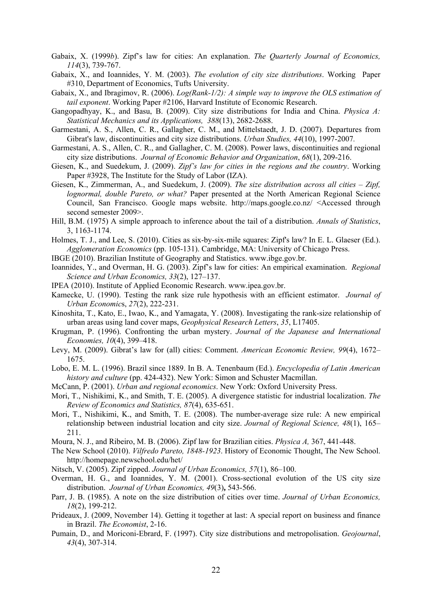- Gabaix, X. (1999*b*). Zipf's law for cities: An explanation. *The Quarterly Journal of Economics, 114*(3), 739-767.
- Gabaix, X., and Ioannides, Y. M. (2003). *The evolution of city size distributions*. Working Paper #310, Department of Economics, Tufts University.
- Gabaix, X., and Ibragimov, R. (2006). *Log(Rank-1/2): A simple way to improve the OLS estimation of tail exponent*. Working Paper #2106, Harvard Institute of Economic Research.
- Gangopadhyay, K., and Basu, B. (2009). City size distributions for India and China. *Physica A: Statistical Mechanics and its Applications, 388*(13), 2682-2688.
- Garmestani, A. S., Allen, C. R., Gallagher, C. M., and Mittelstaedt, J. D. (2007). Departures from Gibrat's law, discontinuities and city size distributions. *Urban Studies, 44*(10), 1997-2007*.*
- Garmestani, A. S., Allen, C. R., and Gallagher, C. M. (2008). Power laws, discontinuities and regional city size distributions. *Journal of Economic Behavior and Organization*, *68*(1), 209-216.
- Giesen, K., and Suedekum, J. (2009). *Zipf's law for cities in the regions and the country*. Working Paper #3928, The Institute for the Study of Labor (IZA).
- Giesen, K., Zimmerman, A., and Suedekum, J. (2009). *The size distribution across all cities Zipf, lognormal, double Pareto, or what?* Paper presented at the North American Regional Science Council, San Francisco. Google maps website. http://maps.google.co.nz/ <Accessed through second semester 2009>.
- Hill, B.M. (1975) A simple approach to inference about the tail of a distribution. *Annals of Statistics*, 3, 1163-1174.
- Holmes, T. J., and Lee, S. (2010). Cities as six-by-six-mile squares: Zipf's law? In E. L. Glaeser (Ed.). *Agglomeration Economics* (pp. 105-131). Cambridge, MA: University of Chicago Press.
- IBGE (2010). Brazilian Institute of Geography and Statistics. www.ibge.gov.br.
- Ioannides, Y., and Overman, H. G. (2003). Zipf's law for cities: An empirical examination. *Regional Science and Urban Economics, 33*(2), 127–137.
- IPEA (2010). Institute of Applied Economic Research. www.ipea.gov.br.
- Kamecke, U. (1990). Testing the rank size rule hypothesis with an efficient estimator. *Journal of Urban Economic*s, *27*(2), 222-231.
- Kinoshita, T., Kato, E., Iwao, K., and Yamagata, Y. (2008). Investigating the rank-size relationship of urban areas using land cover maps, *Geophysical Research Letters*, *35*, L17405.
- Krugman, P. (1996). Confronting the urban mystery. *Journal of the Japanese and International Economies, 10*(4), 399–418.
- Levy, M. (2009). Gibrat's law for (all) cities: Comment. *American Economic Review, 99*(4), 1672– 1675.
- Lobo, E. M. L. (1996). Brazil since 1889. In B. A. Tenenbaum (Ed.). *Encyclopedia of Latin American history and culture* (pp. 424-432). New York: Simon and Schuster Macmillan.
- McCann, P. (2001). *Urban and regional economics*. New York: Oxford University Press.
- Mori, T., Nishikimi, K., and Smith, T. E. (2005). A divergence statistic for industrial localization. *The Review of Economics and Statistics, 87*(4), 635-651.
- Mori, T., Nishikimi, K., and Smith, T. E. (2008). The number-average size rule: A new empirical relationship between industrial location and city size. *Journal of Regional Science, 48*(1), 165– 211.
- Moura, N. J., and Ribeiro, M. B. (2006). Zipf law for Brazilian cities. *Physica A,* 367, 441-448.
- The New School (2010). *Vilfredo Pareto, 1848-1923*. History of Economic Thought, The New School. http://homepage.newschool.edu/het/
- Nitsch, V. (2005). Zipf zipped. *Journal of Urban Economics, 57*(1), 86–100.
- Overman, H. G., and Ioannides, Y. M. (2001). Cross-sectional evolution of the US city size distribution. *Journal of Urban Economics, 49*(3)**,** 543-566.
- Parr, J. B. (1985). A note on the size distribution of cities over time. *Journal of Urban Economics, 18*(2), 199-212.
- Prideaux, J. (2009, November 14). Getting it together at last: A special report on business and finance in Brazil. *The Economist*, 2-16.
- Pumain, D., and Moriconi-Ebrard, F. (1997). City size distributions and metropolisation. *Geojournal*, *43*(4), 307-314.